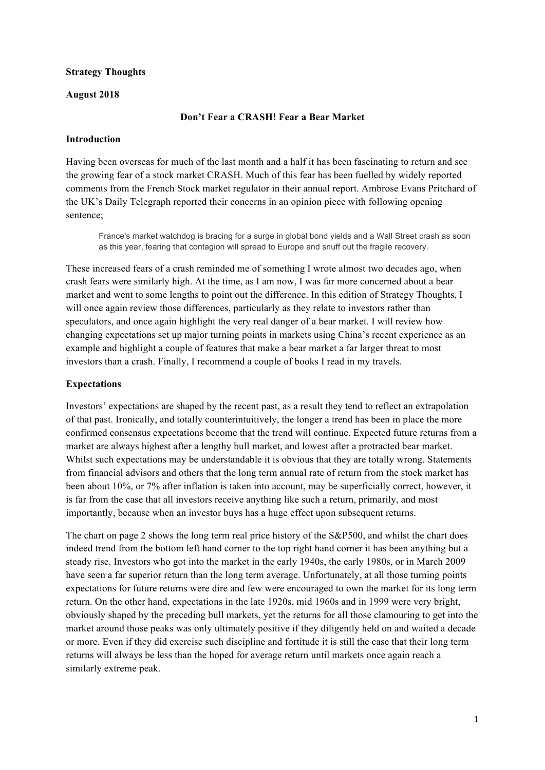### **Strategy Thoughts**

### **August 2018**

### **Don't Fear a CRASH! Fear a Bear Market**

### **Introduction**

Having been overseas for much of the last month and a half it has been fascinating to return and see the growing fear of a stock market CRASH. Much of this fear has been fuelled by widely reported comments from the French Stock market regulator in their annual report. Ambrose Evans Pritchard of the UK's Daily Telegraph reported their concerns in an opinion piece with following opening sentence;

France's market watchdog is bracing for a surge in global bond yields and a Wall Street crash as soon as this year, fearing that contagion will spread to Europe and snuff out the fragile recovery.

These increased fears of a crash reminded me of something I wrote almost two decades ago, when crash fears were similarly high. At the time, as I am now, I was far more concerned about a bear market and went to some lengths to point out the difference. In this edition of Strategy Thoughts, I will once again review those differences, particularly as they relate to investors rather than speculators, and once again highlight the very real danger of a bear market. I will review how changing expectations set up major turning points in markets using China's recent experience as an example and highlight a couple of features that make a bear market a far larger threat to most investors than a crash. Finally, I recommend a couple of books I read in my travels.

### **Expectations**

Investors' expectations are shaped by the recent past, as a result they tend to reflect an extrapolation of that past. Ironically, and totally counterintuitively, the longer a trend has been in place the more confirmed consensus expectations become that the trend will continue. Expected future returns from a market are always highest after a lengthy bull market, and lowest after a protracted bear market. Whilst such expectations may be understandable it is obvious that they are totally wrong. Statements from financial advisors and others that the long term annual rate of return from the stock market has been about 10%, or 7% after inflation is taken into account, may be superficially correct, however, it is far from the case that all investors receive anything like such a return, primarily, and most importantly, because when an investor buys has a huge effect upon subsequent returns.

The chart on page 2 shows the long term real price history of the S&P500, and whilst the chart does indeed trend from the bottom left hand corner to the top right hand corner it has been anything but a steady rise. Investors who got into the market in the early 1940s, the early 1980s, or in March 2009 have seen a far superior return than the long term average. Unfortunately, at all those turning points expectations for future returns were dire and few were encouraged to own the market for its long term return. On the other hand, expectations in the late 1920s, mid 1960s and in 1999 were very bright, obviously shaped by the preceding bull markets, yet the returns for all those clamouring to get into the market around those peaks was only ultimately positive if they diligently held on and waited a decade or more. Even if they did exercise such discipline and fortitude it is still the case that their long term returns will always be less than the hoped for average return until markets once again reach a similarly extreme peak.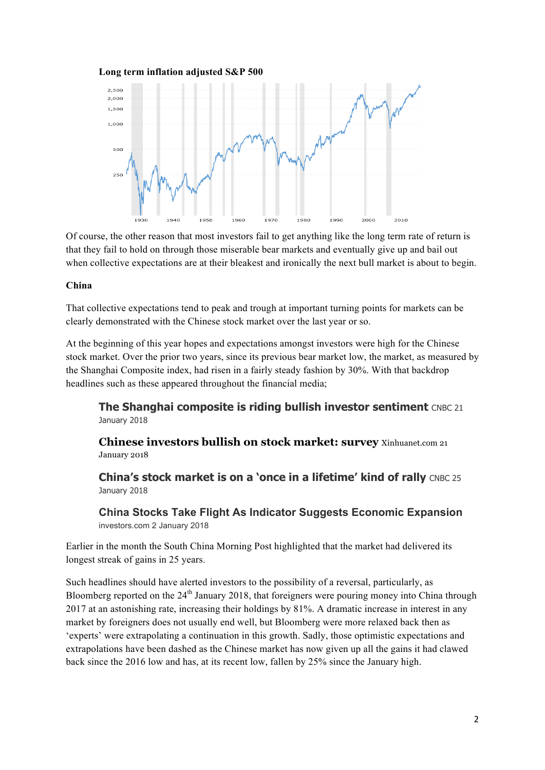#### **Long term inflation adjusted S&P 500**



Of course, the other reason that most investors fail to get anything like the long term rate of return is that they fail to hold on through those miserable bear markets and eventually give up and bail out when collective expectations are at their bleakest and ironically the next bull market is about to begin.

### **China**

That collective expectations tend to peak and trough at important turning points for markets can be clearly demonstrated with the Chinese stock market over the last year or so.

At the beginning of this year hopes and expectations amongst investors were high for the Chinese stock market. Over the prior two years, since its previous bear market low, the market, as measured by the Shanghai Composite index, had risen in a fairly steady fashion by 30%. With that backdrop headlines such as these appeared throughout the financial media;

**The Shanghai composite is riding bullish investor sentiment** CNBC 21 January 2018

**Chinese investors bullish on stock market: survey** Xinhuanet.com 21 January 2018

**China's stock market is on a 'once in a lifetime' kind of rally** CNBC 25 January 2018

**China Stocks Take Flight As Indicator Suggests Economic Expansion** investors.com 2 January 2018

Earlier in the month the South China Morning Post highlighted that the market had delivered its longest streak of gains in 25 years.

Such headlines should have alerted investors to the possibility of a reversal, particularly, as Bloomberg reported on the 24<sup>th</sup> January 2018, that foreigners were pouring money into China through 2017 at an astonishing rate, increasing their holdings by 81%. A dramatic increase in interest in any market by foreigners does not usually end well, but Bloomberg were more relaxed back then as 'experts' were extrapolating a continuation in this growth. Sadly, those optimistic expectations and extrapolations have been dashed as the Chinese market has now given up all the gains it had clawed back since the 2016 low and has, at its recent low, fallen by 25% since the January high.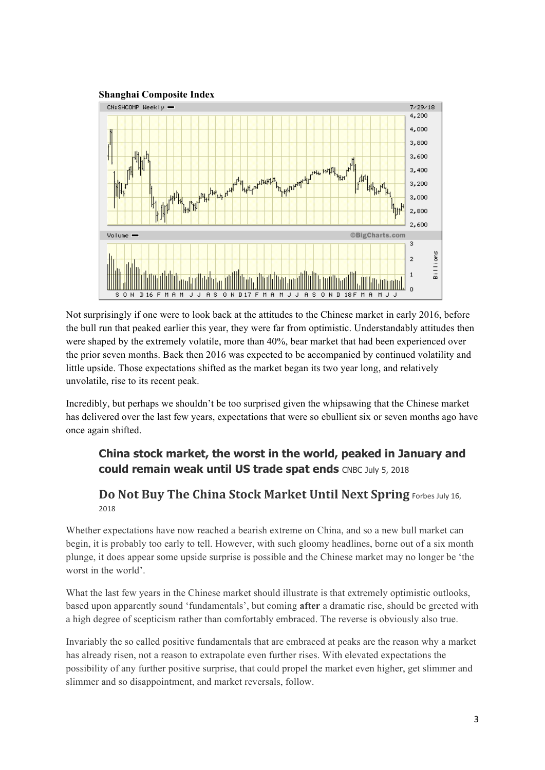

Not surprisingly if one were to look back at the attitudes to the Chinese market in early 2016, before the bull run that peaked earlier this year, they were far from optimistic. Understandably attitudes then were shaped by the extremely volatile, more than 40%, bear market that had been experienced over the prior seven months. Back then 2016 was expected to be accompanied by continued volatility and little upside. Those expectations shifted as the market began its two year long, and relatively unvolatile, rise to its recent peak.

Incredibly, but perhaps we shouldn't be too surprised given the whipsawing that the Chinese market has delivered over the last few years, expectations that were so ebullient six or seven months ago have once again shifted.

# **China stock market, the worst in the world, peaked in January and could remain weak until US trade spat ends** CNBC July 5, 2018

## **Do Not Buy The China Stock Market Until Next Spring Forbes July 16,** 2018

Whether expectations have now reached a bearish extreme on China, and so a new bull market can begin, it is probably too early to tell. However, with such gloomy headlines, borne out of a six month plunge, it does appear some upside surprise is possible and the Chinese market may no longer be 'the worst in the world'.

What the last few years in the Chinese market should illustrate is that extremely optimistic outlooks, based upon apparently sound 'fundamentals', but coming **after** a dramatic rise, should be greeted with a high degree of scepticism rather than comfortably embraced. The reverse is obviously also true.

Invariably the so called positive fundamentals that are embraced at peaks are the reason why a market has already risen, not a reason to extrapolate even further rises. With elevated expectations the possibility of any further positive surprise, that could propel the market even higher, get slimmer and slimmer and so disappointment, and market reversals, follow.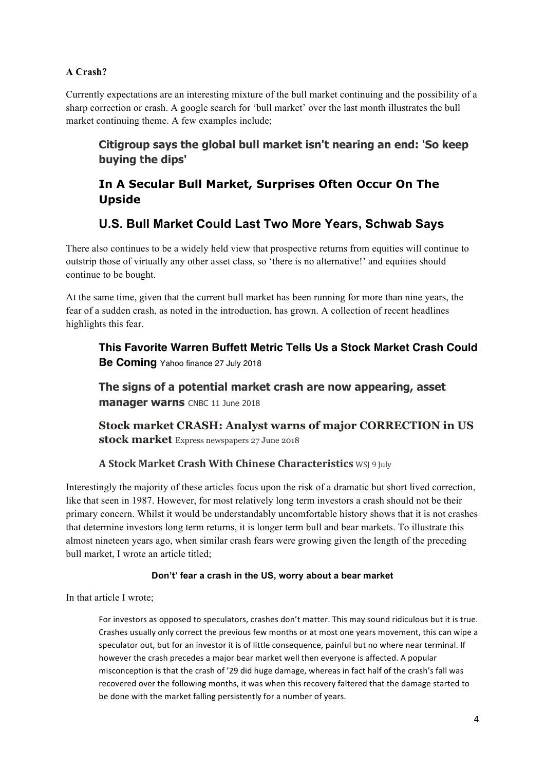### **A Crash?**

Currently expectations are an interesting mixture of the bull market continuing and the possibility of a sharp correction or crash. A google search for 'bull market' over the last month illustrates the bull market continuing theme. A few examples include;

# **Citigroup says the global bull market isn't nearing an end: 'So keep buying the dips'**

# **In A Secular Bull Market, Surprises Often Occur On The Upside**

# **U.S. Bull Market Could Last Two More Years, Schwab Says**

There also continues to be a widely held view that prospective returns from equities will continue to outstrip those of virtually any other asset class, so 'there is no alternative!' and equities should continue to be bought.

At the same time, given that the current bull market has been running for more than nine years, the fear of a sudden crash, as noted in the introduction, has grown. A collection of recent headlines highlights this fear.

**This Favorite Warren Buffett Metric Tells Us a Stock Market Crash Could Be Coming** Yahoo finance 27 July 2018

**The signs of a potential market crash are now appearing, asset manager warns** CNBC 11 June 2018

**Stock market CRASH: Analyst warns of major CORRECTION in US stock market** Express newspapers 27 June 2018

### **A Stock Market Crash With Chinese Characteristics** WSJ 9 July

Interestingly the majority of these articles focus upon the risk of a dramatic but short lived correction, like that seen in 1987. However, for most relatively long term investors a crash should not be their primary concern. Whilst it would be understandably uncomfortable history shows that it is not crashes that determine investors long term returns, it is longer term bull and bear markets. To illustrate this almost nineteen years ago, when similar crash fears were growing given the length of the preceding bull market, I wrote an article titled;

### **Don't' fear a crash in the US, worry about a bear market**

In that article I wrote;

For investors as opposed to speculators, crashes don't matter. This may sound ridiculous but it is true. Crashes usually only correct the previous few months or at most one years movement, this can wipe a speculator out, but for an investor it is of little consequence, painful but no where near terminal. If however the crash precedes a major bear market well then everyone is affected. A popular misconception is that the crash of '29 did huge damage, whereas in fact half of the crash's fall was recovered over the following months, it was when this recovery faltered that the damage started to be done with the market falling persistently for a number of years.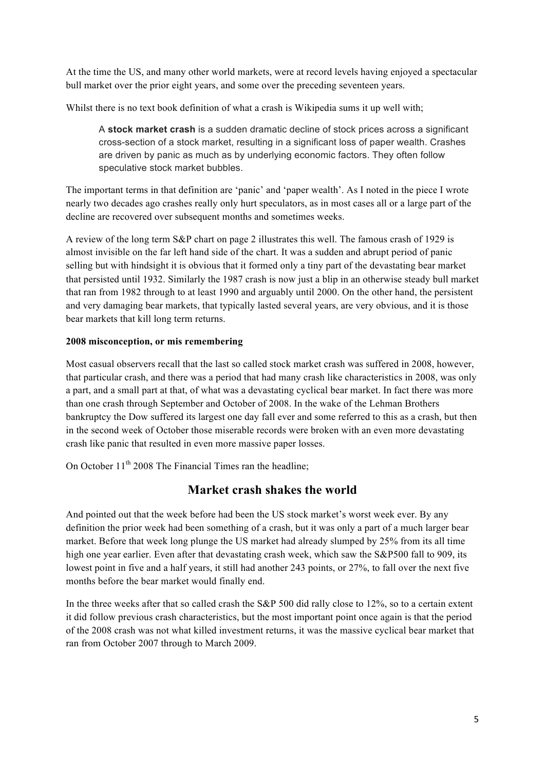At the time the US, and many other world markets, were at record levels having enjoyed a spectacular bull market over the prior eight years, and some over the preceding seventeen years.

Whilst there is no text book definition of what a crash is Wikipedia sums it up well with;

A **stock market crash** is a sudden dramatic decline of stock prices across a significant cross-section of a stock market, resulting in a significant loss of paper wealth. Crashes are driven by panic as much as by underlying economic factors. They often follow speculative stock market bubbles.

The important terms in that definition are 'panic' and 'paper wealth'. As I noted in the piece I wrote nearly two decades ago crashes really only hurt speculators, as in most cases all or a large part of the decline are recovered over subsequent months and sometimes weeks.

A review of the long term S&P chart on page 2 illustrates this well. The famous crash of 1929 is almost invisible on the far left hand side of the chart. It was a sudden and abrupt period of panic selling but with hindsight it is obvious that it formed only a tiny part of the devastating bear market that persisted until 1932. Similarly the 1987 crash is now just a blip in an otherwise steady bull market that ran from 1982 through to at least 1990 and arguably until 2000. On the other hand, the persistent and very damaging bear markets, that typically lasted several years, are very obvious, and it is those bear markets that kill long term returns.

### **2008 misconception, or mis remembering**

Most casual observers recall that the last so called stock market crash was suffered in 2008, however, that particular crash, and there was a period that had many crash like characteristics in 2008, was only a part, and a small part at that, of what was a devastating cyclical bear market. In fact there was more than one crash through September and October of 2008. In the wake of the Lehman Brothers bankruptcy the Dow suffered its largest one day fall ever and some referred to this as a crash, but then in the second week of October those miserable records were broken with an even more devastating crash like panic that resulted in even more massive paper losses.

On October  $11<sup>th</sup> 2008$  The Financial Times ran the headline:

## **Market crash shakes the world**

And pointed out that the week before had been the US stock market's worst week ever. By any definition the prior week had been something of a crash, but it was only a part of a much larger bear market. Before that week long plunge the US market had already slumped by 25% from its all time high one year earlier. Even after that devastating crash week, which saw the S&P500 fall to 909, its lowest point in five and a half years, it still had another 243 points, or 27%, to fall over the next five months before the bear market would finally end.

In the three weeks after that so called crash the S&P 500 did rally close to 12%, so to a certain extent it did follow previous crash characteristics, but the most important point once again is that the period of the 2008 crash was not what killed investment returns, it was the massive cyclical bear market that ran from October 2007 through to March 2009.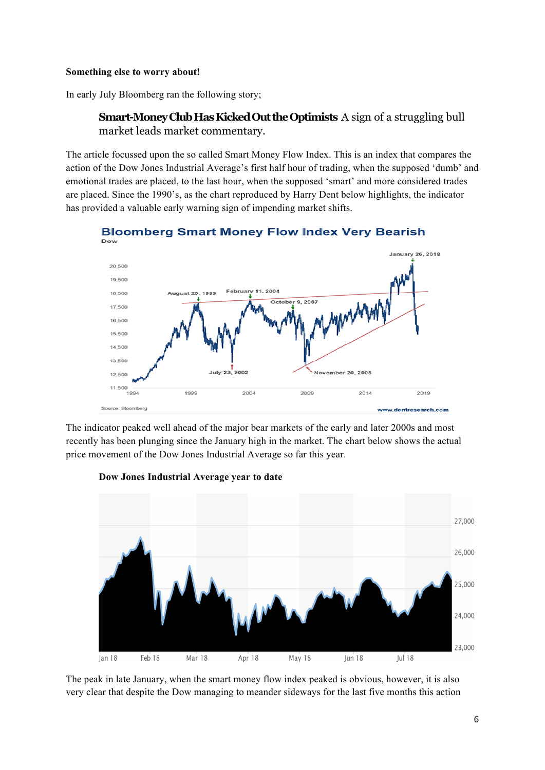### **Something else to worry about!**

In early July Bloomberg ran the following story;

## **Smart-Money Club Has Kicked Out the Optimists** A sign of a struggling bull market leads market commentary.

The article focussed upon the so called Smart Money Flow Index. This is an index that compares the action of the Dow Jones Industrial Average's first half hour of trading, when the supposed 'dumb' and emotional trades are placed, to the last hour, when the supposed 'smart' and more considered trades are placed. Since the 1990's, as the chart reproduced by Harry Dent below highlights, the indicator has provided a valuable early warning sign of impending market shifts.



**Bloomberg Smart Money Flow Index Very Bearish** 

The indicator peaked well ahead of the major bear markets of the early and later 2000s and most recently has been plunging since the January high in the market. The chart below shows the actual price movement of the Dow Jones Industrial Average so far this year.



**Dow Jones Industrial Average year to date**

The peak in late January, when the smart money flow index peaked is obvious, however, it is also very clear that despite the Dow managing to meander sideways for the last five months this action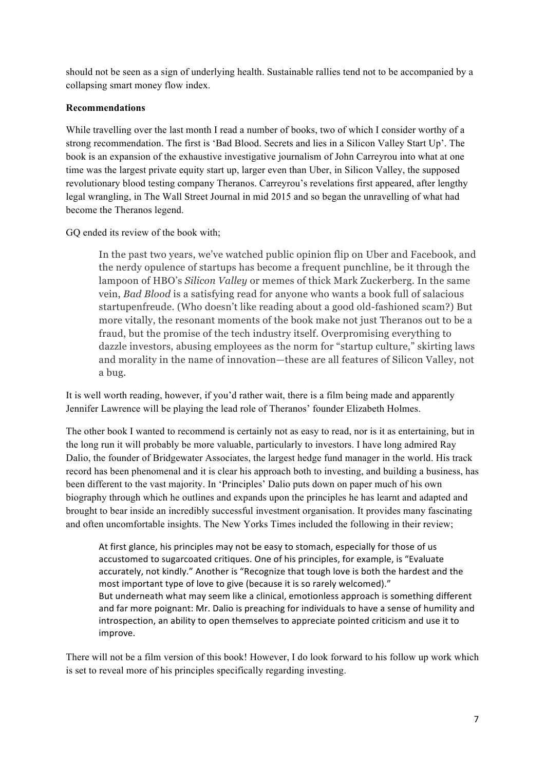should not be seen as a sign of underlying health. Sustainable rallies tend not to be accompanied by a collapsing smart money flow index.

### **Recommendations**

While travelling over the last month I read a number of books, two of which I consider worthy of a strong recommendation. The first is 'Bad Blood. Secrets and lies in a Silicon Valley Start Up'. The book is an expansion of the exhaustive investigative journalism of John Carreyrou into what at one time was the largest private equity start up, larger even than Uber, in Silicon Valley, the supposed revolutionary blood testing company Theranos. Carreyrou's revelations first appeared, after lengthy legal wrangling, in The Wall Street Journal in mid 2015 and so began the unravelling of what had become the Theranos legend.

GQ ended its review of the book with;

In the past two years, we've watched public opinion flip on Uber and Facebook, and the nerdy opulence of startups has become a frequent punchline, be it through the lampoon of HBO's *Silicon Valley* or memes of thick Mark Zuckerberg. In the same vein, *Bad Blood* is a satisfying read for anyone who wants a book full of salacious startupenfreude. (Who doesn't like reading about a good old-fashioned scam?) But more vitally, the resonant moments of the book make not just Theranos out to be a fraud, but the promise of the tech industry itself. Overpromising everything to dazzle investors, abusing employees as the norm for "startup culture," skirting laws and morality in the name of innovation—these are all features of Silicon Valley, not a bug.

It is well worth reading, however, if you'd rather wait, there is a film being made and apparently Jennifer Lawrence will be playing the lead role of Theranos' founder Elizabeth Holmes.

The other book I wanted to recommend is certainly not as easy to read, nor is it as entertaining, but in the long run it will probably be more valuable, particularly to investors. I have long admired Ray Dalio, the founder of Bridgewater Associates, the largest hedge fund manager in the world. His track record has been phenomenal and it is clear his approach both to investing, and building a business, has been different to the vast majority. In 'Principles' Dalio puts down on paper much of his own biography through which he outlines and expands upon the principles he has learnt and adapted and brought to bear inside an incredibly successful investment organisation. It provides many fascinating and often uncomfortable insights. The New Yorks Times included the following in their review;

At first glance, his principles may not be easy to stomach, especially for those of us accustomed to sugarcoated critiques. One of his principles, for example, is "Evaluate accurately, not kindly." Another is "Recognize that tough love is both the hardest and the most important type of love to give (because it is so rarely welcomed)." But underneath what may seem like a clinical, emotionless approach is something different and far more poignant: Mr. Dalio is preaching for individuals to have a sense of humility and introspection, an ability to open themselves to appreciate pointed criticism and use it to improve.

There will not be a film version of this book! However, I do look forward to his follow up work which is set to reveal more of his principles specifically regarding investing.